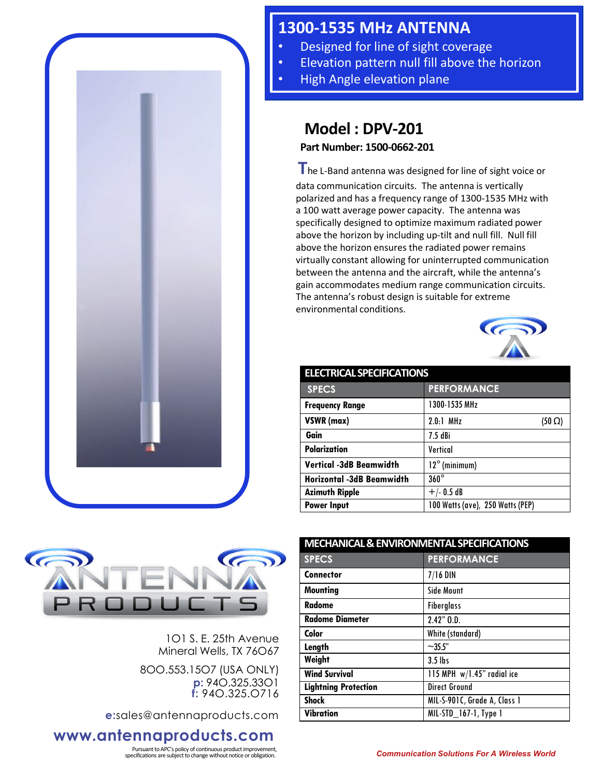

## **1300-1535 MHz ANTENNA**

- Designed for line of sight coverage
- Elevation pattern null fill above the horizon
- High Angle elevation plane

## **Model : DPV-201**

**Part Number: 1500-0662-201**

**T**he L-Band antenna was designed for line of sight voice or data communication circuits. The antenna is vertically polarized and has a frequency range of 1300-1535 MHz with a 100 watt average power capacity. The antenna was specifically designed to optimize maximum radiated power above the horizon by including up-tilt and null fill. Null fill above the horizon ensures the radiated power remains virtually constant allowing for uninterrupted communication between the antenna and the aircraft, while the antenna's gain accommodates medium range communication circuits. The antenna's robust design is suitable for extreme environmental conditions.



| <b>ELECTRICAL SPECIFICATIONS</b> |                                  |  |
|----------------------------------|----------------------------------|--|
| <b>SPECS</b>                     | <b>PERFORMANCE</b>               |  |
| <b>Frequency Range</b>           | 1300-1535 MHz                    |  |
| VSWR (max)                       | $2.0.1$ MHz<br>$(50 \Omega)$     |  |
| Gain                             | $7.5$ dBi                        |  |
| <b>Polarization</b>              | Vertical                         |  |
| <b>Vertical -3dB Beamwidth</b>   | $12^{\circ}$ (minimum)           |  |
| <b>Horizontal -3dB Beamwidth</b> | $360^\circ$                      |  |
| <b>Azimuth Ripple</b>            | $+/- 0.5 dB$                     |  |
| <b>Power Input</b>               | 100 Watts (ave), 250 Watts (PEP) |  |



1O1 S. E. 25th Avenue Mineral Wells, TX 76O67

8OO.553.15O7 (USA ONLY) **p:** 94O.325.33O1 **f:** 94O.325.O716

**e:**sales@antennaproducts.com

## **www.antennaproducts.com**

Pursuant to APC's policy of continuous product improvement,

| <b>MECHANICAL &amp; ENVIRONMENTAL SPECIFICATIONS</b> |  |
|------------------------------------------------------|--|
| <b>PERFORMANCE</b>                                   |  |
| $7/16$ DIN                                           |  |
| <b>Side Mount</b>                                    |  |
| <b>Fiberglass</b>                                    |  |
| $2.42"$ $0.D.$                                       |  |
| White (standard)                                     |  |
| $~1.355$ "                                           |  |
| $3.5$ lbs                                            |  |
| 115 MPH $w/1.45$ " radial ice                        |  |
| <b>Direct Ground</b>                                 |  |
| MIL-S-901C, Grade A, Class 1                         |  |
| MIL-STD 167-1, Type 1                                |  |
|                                                      |  |